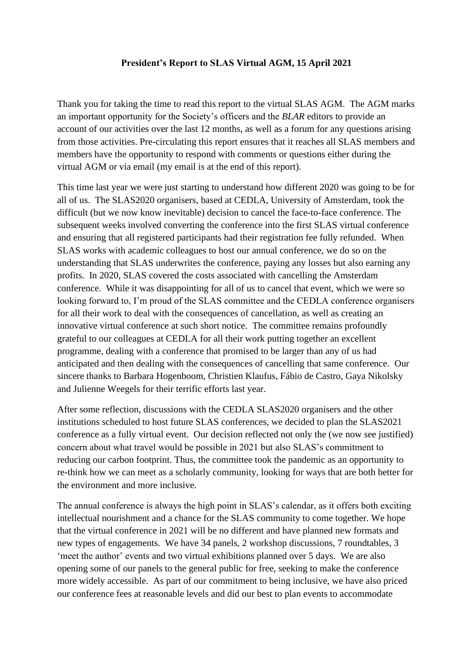## **President's Report to SLAS Virtual AGM, 15 April 2021**

Thank you for taking the time to read this report to the virtual SLAS AGM. The AGM marks an important opportunity for the Society's officers and the *BLAR* editors to provide an account of our activities over the last 12 months, as well as a forum for any questions arising from those activities. Pre-circulating this report ensures that it reaches all SLAS members and members have the opportunity to respond with comments or questions either during the virtual AGM or via email (my email is at the end of this report).

This time last year we were just starting to understand how different 2020 was going to be for all of us. The SLAS2020 organisers, based at CEDLA, University of Amsterdam, took the difficult (but we now know inevitable) decision to cancel the face-to-face conference. The subsequent weeks involved converting the conference into the first SLAS virtual conference and ensuring that all registered participants had their registration fee fully refunded. When SLAS works with academic colleagues to host our annual conference, we do so on the understanding that SLAS underwrites the conference, paying any losses but also earning any profits. In 2020, SLAS covered the costs associated with cancelling the Amsterdam conference. While it was disappointing for all of us to cancel that event, which we were so looking forward to, I'm proud of the SLAS committee and the CEDLA conference organisers for all their work to deal with the consequences of cancellation, as well as creating an innovative virtual conference at such short notice. The committee remains profoundly grateful to our colleagues at CEDLA for all their work putting together an excellent programme, dealing with a conference that promised to be larger than any of us had anticipated and then dealing with the consequences of cancelling that same conference. Our sincere thanks to Barbara Hogenboom, Christien Klaufus, Fábio de Castro, Gaya Nikolsky and Julienne Weegels for their terrific efforts last year.

After some reflection, discussions with the CEDLA SLAS2020 organisers and the other institutions scheduled to host future SLAS conferences, we decided to plan the SLAS2021 conference as a fully virtual event. Our decision reflected not only the (we now see justified) concern about what travel would be possible in 2021 but also SLAS's commitment to reducing our carbon footprint. Thus, the committee took the pandemic as an opportunity to re-think how we can meet as a scholarly community, looking for ways that are both better for the environment and more inclusive.

The annual conference is always the high point in SLAS's calendar, as it offers both exciting intellectual nourishment and a chance for the SLAS community to come together. We hope that the virtual conference in 2021 will be no different and have planned new formats and new types of engagements. We have 34 panels, 2 workshop discussions, 7 roundtables, 3 'meet the author' events and two virtual exhibitions planned over 5 days. We are also opening some of our panels to the general public for free, seeking to make the conference more widely accessible. As part of our commitment to being inclusive, we have also priced our conference fees at reasonable levels and did our best to plan events to accommodate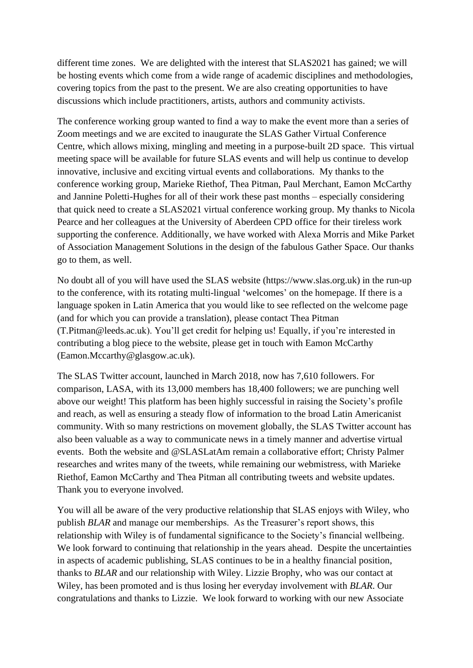different time zones. We are delighted with the interest that SLAS2021 has gained; we will be hosting events which come from a wide range of academic disciplines and methodologies, covering topics from the past to the present. We are also creating opportunities to have discussions which include practitioners, artists, authors and community activists.

The conference working group wanted to find a way to make the event more than a series of Zoom meetings and we are excited to inaugurate the SLAS Gather Virtual Conference Centre, which allows mixing, mingling and meeting in a purpose-built 2D space. This virtual meeting space will be available for future SLAS events and will help us continue to develop innovative, inclusive and exciting virtual events and collaborations. My thanks to the conference working group, Marieke Riethof, Thea Pitman, Paul Merchant, Eamon McCarthy and Jannine Poletti-Hughes for all of their work these past months – especially considering that quick need to create a SLAS2021 virtual conference working group. My thanks to Nicola Pearce and her colleagues at the University of Aberdeen CPD office for their tireless work supporting the conference. Additionally, we have worked with Alexa Morris and Mike Parket of Association Management Solutions in the design of the fabulous Gather Space. Our thanks go to them, as well.

No doubt all of you will have used the SLAS website (https://www.slas.org.uk) in the run-up to the conference, with its rotating multi-lingual 'welcomes' on the homepage. If there is a language spoken in Latin America that you would like to see reflected on the welcome page (and for which you can provide a translation), please contact Thea Pitman (T.Pitman@leeds.ac.uk). You'll get credit for helping us! Equally, if you're interested in contributing a blog piece to the website, please get in touch with Eamon McCarthy (Eamon.Mccarthy@glasgow.ac.uk).

The SLAS Twitter account, launched in March 2018, now has 7,610 followers. For comparison, LASA, with its 13,000 members has 18,400 followers; we are punching well above our weight! This platform has been highly successful in raising the Society's profile and reach, as well as ensuring a steady flow of information to the broad Latin Americanist community. With so many restrictions on movement globally, the SLAS Twitter account has also been valuable as a way to communicate news in a timely manner and advertise virtual events. Both the website and @SLASLatAm remain a collaborative effort; Christy Palmer researches and writes many of the tweets, while remaining our webmistress, with Marieke Riethof, Eamon McCarthy and Thea Pitman all contributing tweets and website updates. Thank you to everyone involved.

You will all be aware of the very productive relationship that SLAS enjoys with Wiley, who publish *BLAR* and manage our memberships. As the Treasurer's report shows, this relationship with Wiley is of fundamental significance to the Society's financial wellbeing. We look forward to continuing that relationship in the years ahead. Despite the uncertainties in aspects of academic publishing, SLAS continues to be in a healthy financial position, thanks to *BLAR* and our relationship with Wiley. Lizzie Brophy, who was our contact at Wiley, has been promoted and is thus losing her everyday involvement with *BLAR*. Our congratulations and thanks to Lizzie. We look forward to working with our new Associate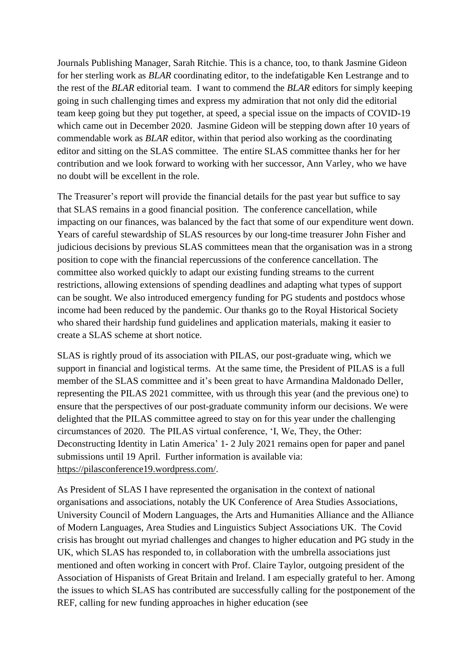Journals Publishing Manager, Sarah Ritchie. This is a chance, too, to thank Jasmine Gideon for her sterling work as *BLAR* coordinating editor, to the indefatigable Ken Lestrange and to the rest of the *BLAR* editorial team. I want to commend the *BLAR* editors for simply keeping going in such challenging times and express my admiration that not only did the editorial team keep going but they put together, at speed, a special issue on the impacts of COVID-19 which came out in December 2020. Jasmine Gideon will be stepping down after 10 years of commendable work as *BLAR* editor, within that period also working as the coordinating editor and sitting on the SLAS committee. The entire SLAS committee thanks her for her contribution and we look forward to working with her successor, Ann Varley, who we have no doubt will be excellent in the role.

The Treasurer's report will provide the financial details for the past year but suffice to say that SLAS remains in a good financial position. The conference cancellation, while impacting on our finances, was balanced by the fact that some of our expenditure went down. Years of careful stewardship of SLAS resources by our long-time treasurer John Fisher and judicious decisions by previous SLAS committees mean that the organisation was in a strong position to cope with the financial repercussions of the conference cancellation. The committee also worked quickly to adapt our existing funding streams to the current restrictions, allowing extensions of spending deadlines and adapting what types of support can be sought. We also introduced emergency funding for PG students and postdocs whose income had been reduced by the pandemic. Our thanks go to the Royal Historical Society who shared their hardship fund guidelines and application materials, making it easier to create a SLAS scheme at short notice.

SLAS is rightly proud of its association with PILAS, our post-graduate wing, which we support in financial and logistical terms. At the same time, the President of PILAS is a full member of the SLAS committee and it's been great to have Armandina Maldonado Deller, representing the PILAS 2021 committee, with us through this year (and the previous one) to ensure that the perspectives of our post-graduate community inform our decisions. We were delighted that the PILAS committee agreed to stay on for this year under the challenging circumstances of 2020. The PILAS virtual conference, 'I, We, They, the Other: Deconstructing Identity in Latin America' 1- 2 July 2021 remains open for paper and panel submissions until 19 April. Further information is available via: [https://pilasconference19.wordpress.com/.](https://pilasconference19.wordpress.com/)

As President of SLAS I have represented the organisation in the context of national organisations and associations, notably the UK Conference of Area Studies Associations, University Council of Modern Languages, the Arts and Humanities Alliance and the Alliance of Modern Languages, Area Studies and Linguistics Subject Associations UK. The Covid crisis has brought out myriad challenges and changes to higher education and PG study in the UK, which SLAS has responded to, in collaboration with the umbrella associations just mentioned and often working in concert with Prof. Claire Taylor, outgoing president of the Association of Hispanists of Great Britain and Ireland. I am especially grateful to her. Among the issues to which SLAS has contributed are successfully calling for the postponement of the REF, calling for new funding approaches in higher education (see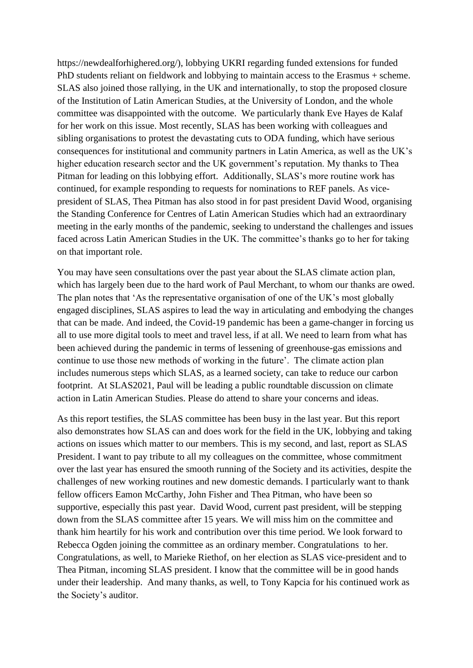https://newdealforhighered.org/), lobbying UKRI regarding funded extensions for funded PhD students reliant on fieldwork and lobbying to maintain access to the Erasmus + scheme. SLAS also joined those rallying, in the UK and internationally, to stop the proposed closure of the Institution of Latin American Studies, at the University of London, and the whole committee was disappointed with the outcome. We particularly thank Eve Hayes de Kalaf for her work on this issue. Most recently, SLAS has been working with colleagues and sibling organisations to protest the devastating cuts to ODA funding, which have serious consequences for institutional and community partners in Latin America, as well as the UK's higher education research sector and the UK government's reputation. My thanks to Thea Pitman for leading on this lobbying effort. Additionally, SLAS's more routine work has continued, for example responding to requests for nominations to REF panels. As vicepresident of SLAS, Thea Pitman has also stood in for past president David Wood, organising the Standing Conference for Centres of Latin American Studies which had an extraordinary meeting in the early months of the pandemic, seeking to understand the challenges and issues faced across Latin American Studies in the UK. The committee's thanks go to her for taking on that important role.

You may have seen consultations over the past year about the SLAS climate action plan, which has largely been due to the hard work of Paul Merchant, to whom our thanks are owed. The plan notes that 'As the representative organisation of one of the UK's most globally engaged disciplines, SLAS aspires to lead the way in articulating and embodying the changes that can be made. And indeed, the Covid-19 pandemic has been a game-changer in forcing us all to use more digital tools to meet and travel less, if at all. We need to learn from what has been achieved during the pandemic in terms of lessening of greenhouse-gas emissions and continue to use those new methods of working in the future'. The climate action plan includes numerous steps which SLAS, as a learned society, can take to reduce our carbon footprint. At SLAS2021, Paul will be leading a public roundtable discussion on climate action in Latin American Studies. Please do attend to share your concerns and ideas.

As this report testifies, the SLAS committee has been busy in the last year. But this report also demonstrates how SLAS can and does work for the field in the UK, lobbying and taking actions on issues which matter to our members. This is my second, and last, report as SLAS President. I want to pay tribute to all my colleagues on the committee, whose commitment over the last year has ensured the smooth running of the Society and its activities, despite the challenges of new working routines and new domestic demands. I particularly want to thank fellow officers Eamon McCarthy, John Fisher and Thea Pitman, who have been so supportive, especially this past year. David Wood, current past president, will be stepping down from the SLAS committee after 15 years. We will miss him on the committee and thank him heartily for his work and contribution over this time period. We look forward to Rebecca Ogden joining the committee as an ordinary member. Congratulations to her. Congratulations, as well, to Marieke Riethof, on her election as SLAS vice-president and to Thea Pitman, incoming SLAS president. I know that the committee will be in good hands under their leadership. And many thanks, as well, to Tony Kapcia for his continued work as the Society's auditor.